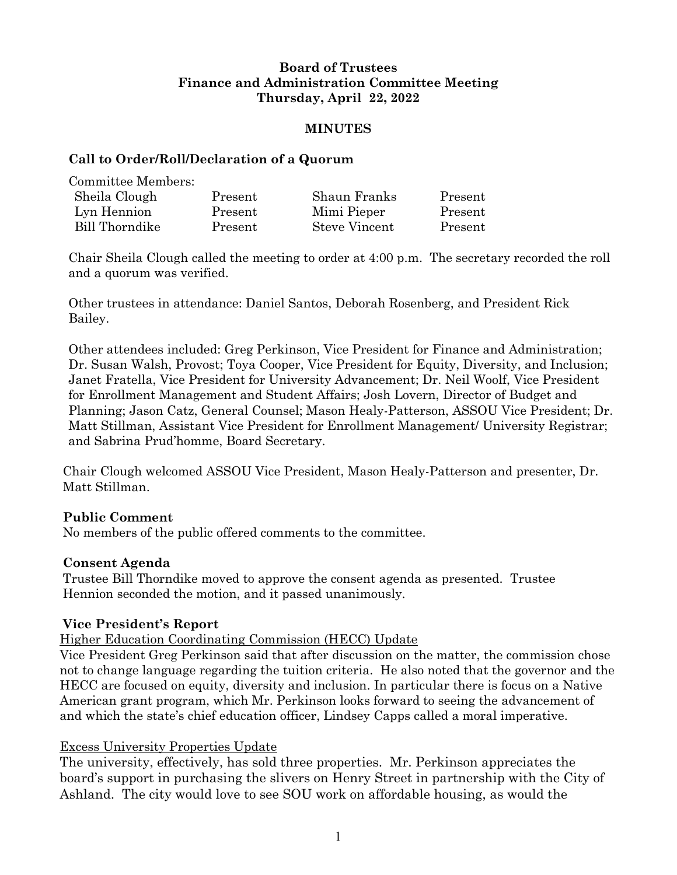# **Board of Trustees Finance and Administration Committee Meeting Thursday, April 22, 2022**

#### **MINUTES**

#### **Call to Order/Roll/Declaration of a Quorum**

Committee Members:

| Sheila Clough  | Present | Shaun Franks         | Present |
|----------------|---------|----------------------|---------|
| Lyn Hennion    | Present | Mimi Pieper          | Present |
| Bill Thorndike | Present | <b>Steve Vincent</b> | Present |

Chair Sheila Clough called the meeting to order at 4:00 p.m. The secretary recorded the roll and a quorum was verified.

Other trustees in attendance: Daniel Santos, Deborah Rosenberg, and President Rick Bailey.

Other attendees included: Greg Perkinson, Vice President for Finance and Administration; Dr. Susan Walsh, Provost; Toya Cooper, Vice President for Equity, Diversity, and Inclusion; Janet Fratella, Vice President for University Advancement; Dr. Neil Woolf, Vice President for Enrollment Management and Student Affairs; Josh Lovern, Director of Budget and Planning; Jason Catz, General Counsel; Mason Healy-Patterson, ASSOU Vice President; Dr. Matt Stillman, Assistant Vice President for Enrollment Management/ University Registrar; and Sabrina Prud'homme, Board Secretary.

Chair Clough welcomed ASSOU Vice President, Mason Healy-Patterson and presenter, Dr. Matt Stillman.

## **Public Comment**

No members of the public offered comments to the committee.

## **Consent Agenda**

Trustee Bill Thorndike moved to approve the consent agenda as presented. Trustee Hennion seconded the motion, and it passed unanimously.

## **Vice President's Report**

Higher Education Coordinating Commission (HECC) Update

Vice President Greg Perkinson said that after discussion on the matter, the commission chose not to change language regarding the tuition criteria. He also noted that the governor and the HECC are focused on equity, diversity and inclusion. In particular there is focus on a Native American grant program, which Mr. Perkinson looks forward to seeing the advancement of and which the state's chief education officer, Lindsey Capps called a moral imperative.

## Excess University Properties Update

The university, effectively, has sold three properties. Mr. Perkinson appreciates the board's support in purchasing the slivers on Henry Street in partnership with the City of Ashland. The city would love to see SOU work on affordable housing, as would the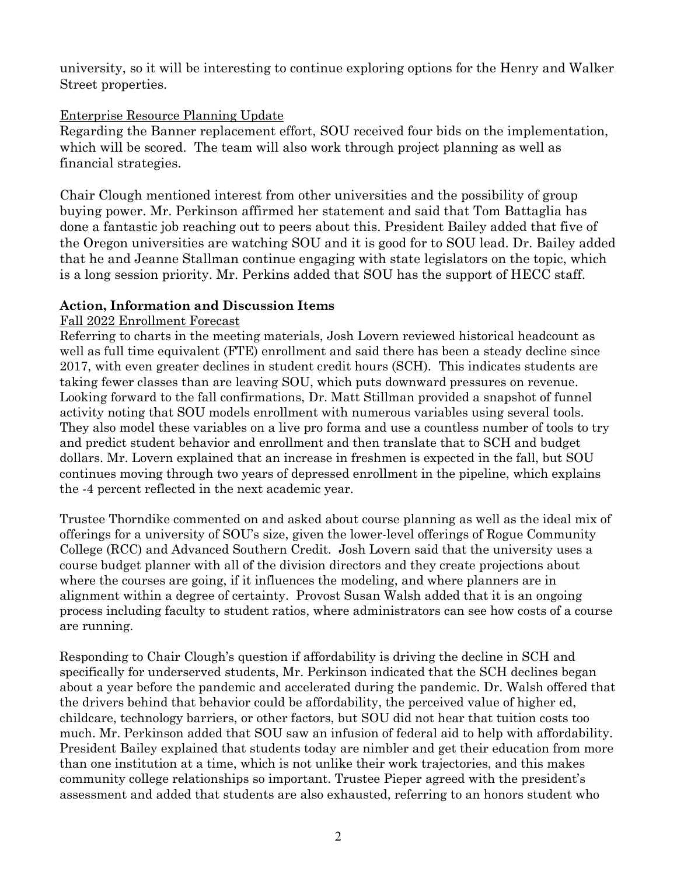university, so it will be interesting to continue exploring options for the Henry and Walker Street properties.

#### Enterprise Resource Planning Update

Regarding the Banner replacement effort, SOU received four bids on the implementation, which will be scored. The team will also work through project planning as well as financial strategies.

Chair Clough mentioned interest from other universities and the possibility of group buying power. Mr. Perkinson affirmed her statement and said that Tom Battaglia has done a fantastic job reaching out to peers about this. President Bailey added that five of the Oregon universities are watching SOU and it is good for to SOU lead. Dr. Bailey added that he and Jeanne Stallman continue engaging with state legislators on the topic, which is a long session priority. Mr. Perkins added that SOU has the support of HECC staff.

# **Action, Information and Discussion Items**

## Fall 2022 Enrollment Forecast

Referring to charts in the meeting materials, Josh Lovern reviewed historical headcount as well as full time equivalent (FTE) enrollment and said there has been a steady decline since 2017, with even greater declines in student credit hours (SCH). This indicates students are taking fewer classes than are leaving SOU, which puts downward pressures on revenue. Looking forward to the fall confirmations, Dr. Matt Stillman provided a snapshot of funnel activity noting that SOU models enrollment with numerous variables using several tools. They also model these variables on a live pro forma and use a countless number of tools to try and predict student behavior and enrollment and then translate that to SCH and budget dollars. Mr. Lovern explained that an increase in freshmen is expected in the fall, but SOU continues moving through two years of depressed enrollment in the pipeline, which explains the -4 percent reflected in the next academic year.

Trustee Thorndike commented on and asked about course planning as well as the ideal mix of offerings for a university of SOU's size, given the lower-level offerings of Rogue Community College (RCC) and Advanced Southern Credit. Josh Lovern said that the university uses a course budget planner with all of the division directors and they create projections about where the courses are going, if it influences the modeling, and where planners are in alignment within a degree of certainty. Provost Susan Walsh added that it is an ongoing process including faculty to student ratios, where administrators can see how costs of a course are running.

Responding to Chair Clough's question if affordability is driving the decline in SCH and specifically for underserved students, Mr. Perkinson indicated that the SCH declines began about a year before the pandemic and accelerated during the pandemic. Dr. Walsh offered that the drivers behind that behavior could be affordability, the perceived value of higher ed, childcare, technology barriers, or other factors, but SOU did not hear that tuition costs too much. Mr. Perkinson added that SOU saw an infusion of federal aid to help with affordability. President Bailey explained that students today are nimbler and get their education from more than one institution at a time, which is not unlike their work trajectories, and this makes community college relationships so important. Trustee Pieper agreed with the president's assessment and added that students are also exhausted, referring to an honors student who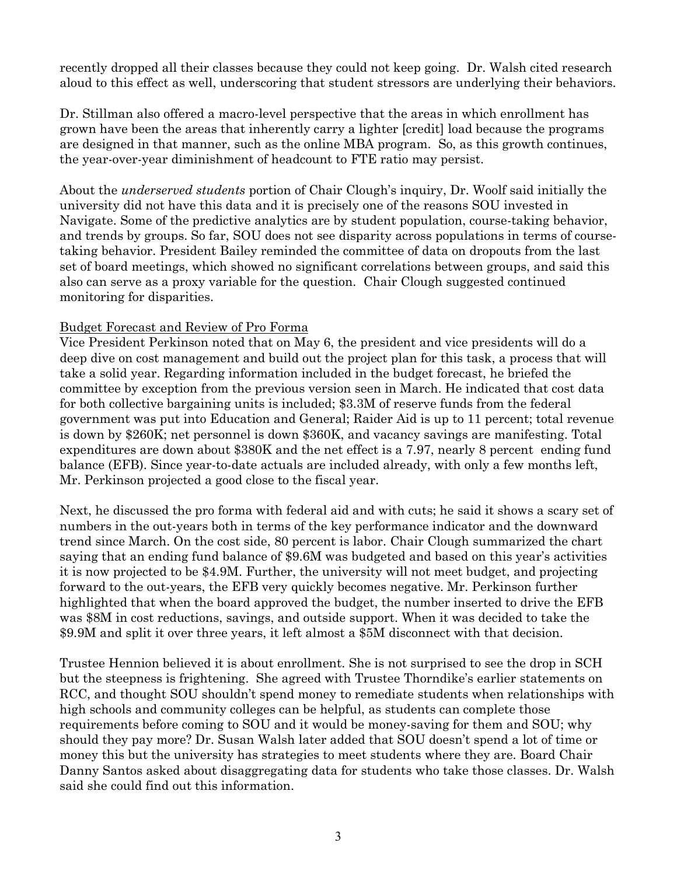recently dropped all their classes because they could not keep going. Dr. Walsh cited research aloud to this effect as well, underscoring that student stressors are underlying their behaviors.

Dr. Stillman also offered a macro-level perspective that the areas in which enrollment has grown have been the areas that inherently carry a lighter [credit] load because the programs are designed in that manner, such as the online MBA program. So, as this growth continues, the year-over-year diminishment of headcount to FTE ratio may persist.

About the *underserved students* portion of Chair Clough's inquiry, Dr. Woolf said initially the university did not have this data and it is precisely one of the reasons SOU invested in Navigate. Some of the predictive analytics are by student population, course-taking behavior, and trends by groups. So far, SOU does not see disparity across populations in terms of coursetaking behavior. President Bailey reminded the committee of data on dropouts from the last set of board meetings, which showed no significant correlations between groups, and said this also can serve as a proxy variable for the question. Chair Clough suggested continued monitoring for disparities.

#### Budget Forecast and Review of Pro Forma

Vice President Perkinson noted that on May 6, the president and vice presidents will do a deep dive on cost management and build out the project plan for this task, a process that will take a solid year. Regarding information included in the budget forecast, he briefed the committee by exception from the previous version seen in March. He indicated that cost data for both collective bargaining units is included; \$3.3M of reserve funds from the federal government was put into Education and General; Raider Aid is up to 11 percent; total revenue is down by \$260K; net personnel is down \$360K, and vacancy savings are manifesting. Total expenditures are down about \$380K and the net effect is a 7.97, nearly 8 percent ending fund balance (EFB). Since year-to-date actuals are included already, with only a few months left, Mr. Perkinson projected a good close to the fiscal year.

Next, he discussed the pro forma with federal aid and with cuts; he said it shows a scary set of numbers in the out-years both in terms of the key performance indicator and the downward trend since March. On the cost side, 80 percent is labor. Chair Clough summarized the chart saying that an ending fund balance of \$9.6M was budgeted and based on this year's activities it is now projected to be \$4.9M. Further, the university will not meet budget, and projecting forward to the out-years, the EFB very quickly becomes negative. Mr. Perkinson further highlighted that when the board approved the budget, the number inserted to drive the EFB was \$8M in cost reductions, savings, and outside support. When it was decided to take the \$9.9M and split it over three years, it left almost a \$5M disconnect with that decision.

Trustee Hennion believed it is about enrollment. She is not surprised to see the drop in SCH but the steepness is frightening. She agreed with Trustee Thorndike's earlier statements on RCC, and thought SOU shouldn't spend money to remediate students when relationships with high schools and community colleges can be helpful, as students can complete those requirements before coming to SOU and it would be money-saving for them and SOU; why should they pay more? Dr. Susan Walsh later added that SOU doesn't spend a lot of time or money this but the university has strategies to meet students where they are. Board Chair Danny Santos asked about disaggregating data for students who take those classes. Dr. Walsh said she could find out this information.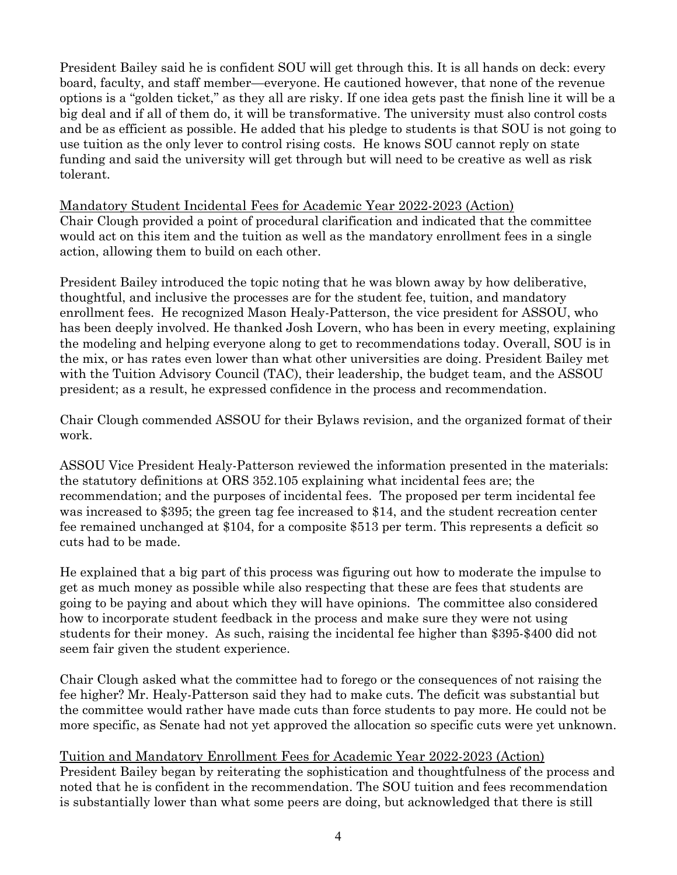President Bailey said he is confident SOU will get through this. It is all hands on deck: every board, faculty, and staff member—everyone. He cautioned however, that none of the revenue options is a "golden ticket," as they all are risky. If one idea gets past the finish line it will be a big deal and if all of them do, it will be transformative. The university must also control costs and be as efficient as possible. He added that his pledge to students is that SOU is not going to use tuition as the only lever to control rising costs. He knows SOU cannot reply on state funding and said the university will get through but will need to be creative as well as risk tolerant.

Mandatory Student Incidental Fees for Academic Year 2022-2023 (Action) Chair Clough provided a point of procedural clarification and indicated that the committee would act on this item and the tuition as well as the mandatory enrollment fees in a single action, allowing them to build on each other.

President Bailey introduced the topic noting that he was blown away by how deliberative, thoughtful, and inclusive the processes are for the student fee, tuition, and mandatory enrollment fees. He recognized Mason Healy-Patterson, the vice president for ASSOU, who has been deeply involved. He thanked Josh Lovern, who has been in every meeting, explaining the modeling and helping everyone along to get to recommendations today. Overall, SOU is in the mix, or has rates even lower than what other universities are doing. President Bailey met with the Tuition Advisory Council (TAC), their leadership, the budget team, and the ASSOU president; as a result, he expressed confidence in the process and recommendation.

Chair Clough commended ASSOU for their Bylaws revision, and the organized format of their work.

ASSOU Vice President Healy-Patterson reviewed the information presented in the materials: the statutory definitions at ORS 352.105 explaining what incidental fees are; the recommendation; and the purposes of incidental fees. The proposed per term incidental fee was increased to \$395; the green tag fee increased to \$14, and the student recreation center fee remained unchanged at \$104, for a composite \$513 per term. This represents a deficit so cuts had to be made.

He explained that a big part of this process was figuring out how to moderate the impulse to get as much money as possible while also respecting that these are fees that students are going to be paying and about which they will have opinions. The committee also considered how to incorporate student feedback in the process and make sure they were not using students for their money. As such, raising the incidental fee higher than \$395-\$400 did not seem fair given the student experience.

Chair Clough asked what the committee had to forego or the consequences of not raising the fee higher? Mr. Healy-Patterson said they had to make cuts. The deficit was substantial but the committee would rather have made cuts than force students to pay more. He could not be more specific, as Senate had not yet approved the allocation so specific cuts were yet unknown.

Tuition and Mandatory Enrollment Fees for Academic Year 2022-2023 (Action) President Bailey began by reiterating the sophistication and thoughtfulness of the process and noted that he is confident in the recommendation. The SOU tuition and fees recommendation is substantially lower than what some peers are doing, but acknowledged that there is still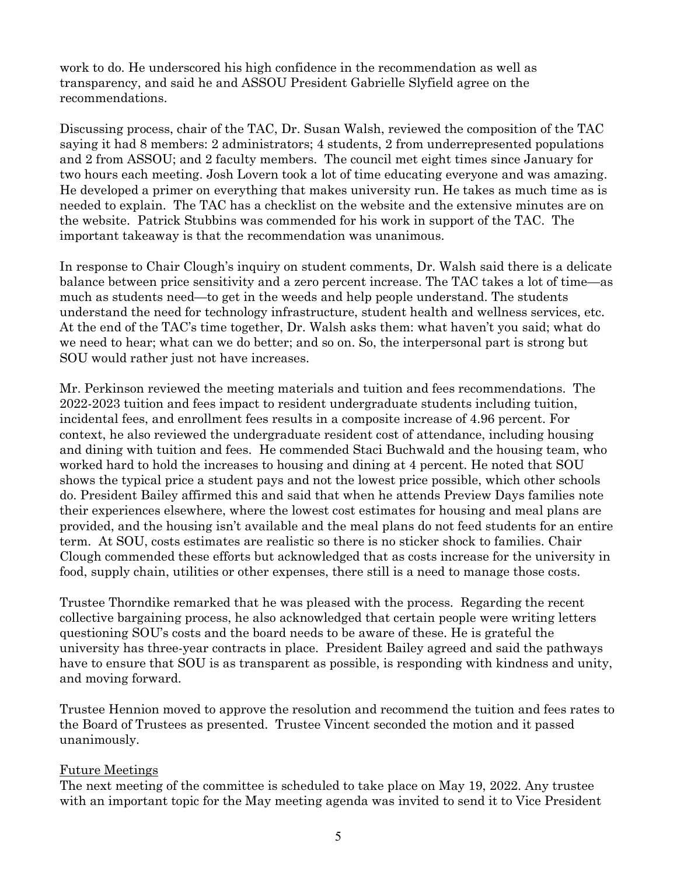work to do. He underscored his high confidence in the recommendation as well as transparency, and said he and ASSOU President Gabrielle Slyfield agree on the recommendations.

Discussing process, chair of the TAC, Dr. Susan Walsh, reviewed the composition of the TAC saying it had 8 members: 2 administrators; 4 students, 2 from underrepresented populations and 2 from ASSOU; and 2 faculty members. The council met eight times since January for two hours each meeting. Josh Lovern took a lot of time educating everyone and was amazing. He developed a primer on everything that makes university run. He takes as much time as is needed to explain. The TAC has a checklist on the website and the extensive minutes are on the website. Patrick Stubbins was commended for his work in support of the TAC. The important takeaway is that the recommendation was unanimous.

In response to Chair Clough's inquiry on student comments, Dr. Walsh said there is a delicate balance between price sensitivity and a zero percent increase. The TAC takes a lot of time—as much as students need—to get in the weeds and help people understand. The students understand the need for technology infrastructure, student health and wellness services, etc. At the end of the TAC's time together, Dr. Walsh asks them: what haven't you said; what do we need to hear; what can we do better; and so on. So, the interpersonal part is strong but SOU would rather just not have increases.

Mr. Perkinson reviewed the meeting materials and tuition and fees recommendations. The 2022-2023 tuition and fees impact to resident undergraduate students including tuition, incidental fees, and enrollment fees results in a composite increase of 4.96 percent. For context, he also reviewed the undergraduate resident cost of attendance, including housing and dining with tuition and fees. He commended Staci Buchwald and the housing team, who worked hard to hold the increases to housing and dining at 4 percent. He noted that SOU shows the typical price a student pays and not the lowest price possible, which other schools do. President Bailey affirmed this and said that when he attends Preview Days families note their experiences elsewhere, where the lowest cost estimates for housing and meal plans are provided, and the housing isn't available and the meal plans do not feed students for an entire term. At SOU, costs estimates are realistic so there is no sticker shock to families. Chair Clough commended these efforts but acknowledged that as costs increase for the university in food, supply chain, utilities or other expenses, there still is a need to manage those costs.

Trustee Thorndike remarked that he was pleased with the process. Regarding the recent collective bargaining process, he also acknowledged that certain people were writing letters questioning SOU's costs and the board needs to be aware of these. He is grateful the university has three-year contracts in place. President Bailey agreed and said the pathways have to ensure that SOU is as transparent as possible, is responding with kindness and unity, and moving forward.

Trustee Hennion moved to approve the resolution and recommend the tuition and fees rates to the Board of Trustees as presented. Trustee Vincent seconded the motion and it passed unanimously.

#### Future Meetings

The next meeting of the committee is scheduled to take place on May 19, 2022. Any trustee with an important topic for the May meeting agenda was invited to send it to Vice President